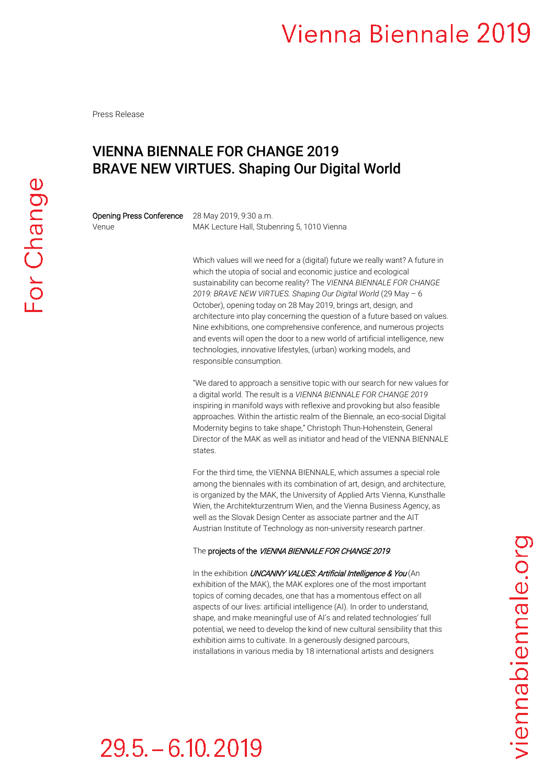Press Release

### VIENNA BIENNALE FOR CHANGE 2019 BRAVE NEW VIRTUES. Shaping Our Digital World

Opening Press Conference 28 May 2019, 9:30 a.m.

Venue MAK Lecture Hall, Stubenring 5, 1010 Vienna

Which values will we need for a (digital) future we really want? A future in which the utopia of social and economic justice and ecological sustainability can become reality? The *VIENNA BIENNALE FOR CHANGE 2019: BRAVE NEW VIRTUES. Shaping Our Digital World* (29 May – 6 October), opening today on 28 May 2019, brings art, design, and architecture into play concerning the question of a future based on values. Nine exhibitions, one comprehensive conference, and numerous projects and events will open the door to a new world of artificial intelligence, new technologies, innovative lifestyles, (urban) working models, and responsible consumption.

"We dared to approach a sensitive topic with our search for new values for a digital world. The result is a *VIENNA BIENNALE FOR CHANGE 2019*  inspiring in manifold ways with reflexive and provoking but also feasible approaches. Within the artistic realm of the Biennale, an eco-social Digital Modernity begins to take shape," Christoph Thun-Hohenstein, General Director of the MAK as well as initiator and head of the VIENNA BIENNALE states.

For the third time, the VIENNA BIENNALE, which assumes a special role among the biennales with its combination of art, design, and architecture, is organized by the MAK, the University of Applied Arts Vienna, Kunsthalle Wien, the Architekturzentrum Wien, and the Vienna Business Agency, as well as the Slovak Design Center as associate partner and the AIT Austrian Institute of Technology as non-university research partner.

#### The projects of the VIENNA BIENNALE FOR CHANGE 2019.

In the exhibition UNCANNY VALUES: Artificial Intelligence & You (An exhibition of the MAK), the MAK explores one of the most important topics of coming decades, one that has a momentous effect on all aspects of our lives: artificial intelligence (AI). In order to understand, shape, and make meaningful use of AI's and related technologies' full potential, we need to develop the kind of new cultural sensibility that this exhibition aims to cultivate. In a generously designed parcours, installations in various media by 18 international artists and designers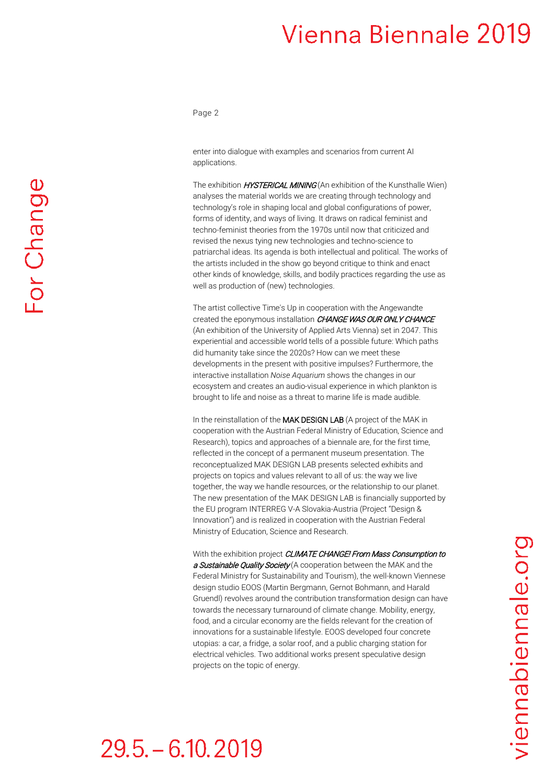Page 2

enter into dialogue with examples and scenarios from current AI applications.

The exhibition **HYSTERICAL MINING** (An exhibition of the Kunsthalle Wien) analyses the material worlds we are creating through technology and technology's role in shaping local and global configurations of power, forms of identity, and ways of living. It draws on radical feminist and techno-feminist theories from the 1970s until now that criticized and revised the nexus tying new technologies and techno-science to patriarchal ideas. Its agenda is both intellectual and political. The works of the artists included in the show go beyond critique to think and enact other kinds of knowledge, skills, and bodily practices regarding the use as well as production of (new) technologies.

The artist collective Time's Up in cooperation with the Angewandte created the eponymous installation CHANGE WAS OUR ONLY CHANCE (An exhibition of the University of Applied Arts Vienna) set in 2047. This experiential and accessible world tells of a possible future: Which paths did humanity take since the 2020s? How can we meet these developments in the present with positive impulses? Furthermore, the interactive installation *Noise Aquarium* shows the changes in our ecosystem and creates an audio-visual experience in which plankton is brought to life and noise as a threat to marine life is made audible.

In the reinstallation of the MAK DESIGN LAB (A project of the MAK in cooperation with the Austrian Federal Ministry of Education, Science and Research), topics and approaches of a biennale are, for the first time, reflected in the concept of a permanent museum presentation. The reconceptualized MAK DESIGN LAB presents selected exhibits and projects on topics and values relevant to all of us: the way we live together, the way we handle resources, or the relationship to our planet. The new presentation of the MAK DESIGN LAB is financially supported by the EU program INTERREG V-A Slovakia-Austria (Project "Design & Innovation") and is realized in cooperation with the Austrian Federal Ministry of Education, Science and Research.

With the exhibition project CLIMATE CHANGE! From Mass Consumption to a Sustainable Quality Society (A cooperation between the MAK and the Federal Ministry for Sustainability and Tourism), the well-known Viennese design studio EOOS (Martin Bergmann, Gernot Bohmann, and Harald Gruendl) revolves around the contribution transformation design can have towards the necessary turnaround of climate change. Mobility, energy, food, and a circular economy are the fields relevant for the creation of innovations for a sustainable lifestyle. EOOS developed four concrete utopias: a car, a fridge, a solar roof, and a public charging station for electrical vehicles. Two additional works present speculative design projects on the topic of energy.

### $29.5 - 6.10.2019$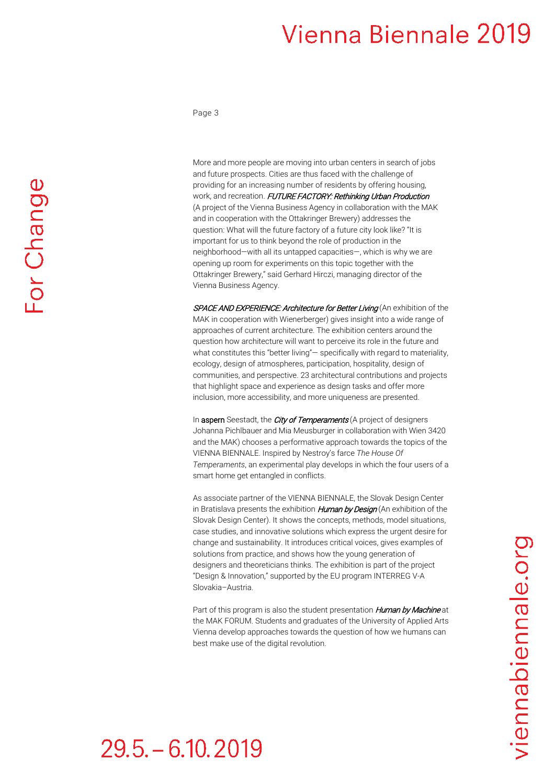Page 3

More and more people are moving into urban centers in search of jobs and future prospects. Cities are thus faced with the challenge of providing for an increasing number of residents by offering housing, work, and recreation. FUTURE FACTORY: Rethinking Urban Production (A project of the Vienna Business Agency in collaboration with the MAK and in cooperation with the Ottakringer Brewery) addresses the question: What will the future factory of a future city look like? "It is important for us to think beyond the role of production in the neighborhood—with all its untapped capacities—, which is why we are opening up room for experiments on this topic together with the Ottakringer Brewery," said Gerhard Hirczi, managing director of the Vienna Business Agency.

SPACE AND EXPERIENCE: Architecture for Better Living (An exhibition of the MAK in cooperation with Wienerberger) gives insight into a wide range of approaches of current architecture. The exhibition centers around the question how architecture will want to perceive its role in the future and what constitutes this "better living" – specifically with regard to materiality, ecology, design of atmospheres, participation, hospitality, design of communities, and perspective. 23 architectural contributions and projects that highlight space and experience as design tasks and offer more inclusion, more accessibility, and more uniqueness are presented.

In aspern Seestadt, the *City of Temperaments* (A project of designers Johanna Pichlbauer and Mia Meusburger in collaboration with Wien 3420 and the MAK) chooses a performative approach towards the topics of the VIENNA BIENNALE. Inspired by Nestroy's farce *The House Of Temperaments*, an experimental play develops in which the four users of a smart home get entangled in conflicts.

As associate partner of the VIENNA BIENNALE, the Slovak Design Center in Bratislava presents the exhibition *Human by Design* (An exhibition of the Slovak Design Center). It shows the concepts, methods, model situations, case studies, and innovative solutions which express the urgent desire for change and sustainability. It introduces critical voices, gives examples of solutions from practice, and shows how the young generation of designers and theoreticians thinks. The exhibition is part of the project "Design & Innovation," supported by the EU program INTERREG V-A Slovakia–Austria.

Part of this program is also the student presentation *Human by Machine* at the MAK FORUM. Students and graduates of the University of Applied Arts Vienna develop approaches towards the question of how we humans can best make use of the digital revolution.

# $29.5 - 6.10.2019$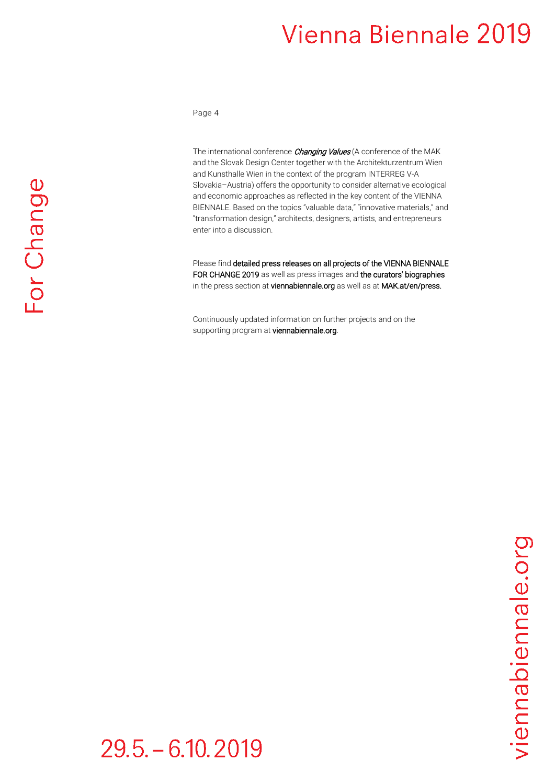Page 4

The international conference *Changing Values* (A conference of the MAK and the Slovak Design Center together with the Architekturzentrum Wien and Kunsthalle Wien in the context of the program INTERREG V-A Slovakia–Austria) offers the opportunity to consider alternative ecological and economic approaches as reflected in the key content of the VIENNA BIENNALE. Based on the topics "valuable data," "innovative materials," and "transformation design," architects, designers, artists, and entrepreneurs enter into a discussion.

Please find detailed press releases on all projects of the VIENNA BIENNALE FOR CHANGE 2019 as well as press images and the curators' biographies in the press section at viennabiennale.org as well as at MAK.at/en/press.

Continuously updated information on further projects and on the supporting program at viennabiennale.org.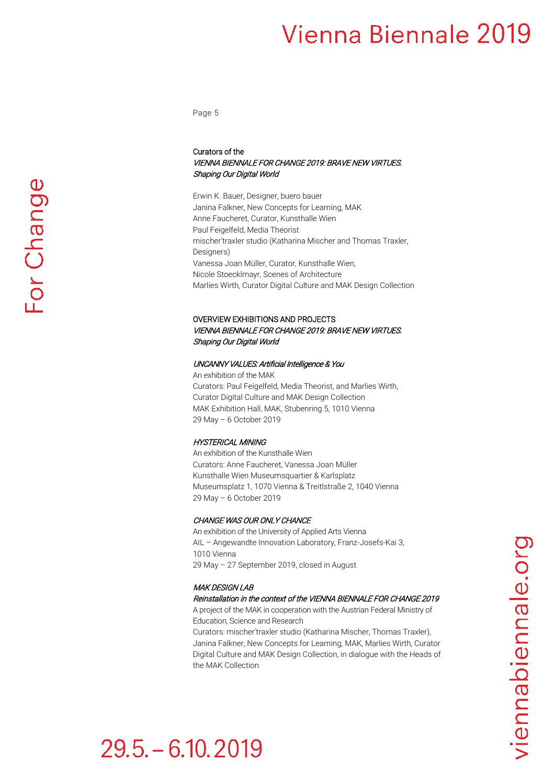Page 5

#### Curators of the VIENNA BIENNALE FOR CHANGE 2019: BRAVE NEW VIRTUES. Shaping Our Digital World

Erwin K. Bauer, Designer, buero bauer Janina Falkner, New Concepts for Learning, MAK Anne Faucheret, Curator, Kunsthalle Wien Paul Feigelfeld, Media Theorist mischer′traxler studio (Katharina Mischer and Thomas Traxler, Designers) Vanessa Joan Müller, Curator, Kunsthalle Wien, Nicole Stoecklmayr, Scenes of Architecture Marlies Wirth, Curator Digital Culture and MAK Design Collection

#### OVERVIEW EXHIBITIONS AND PROJECTS VIENNA BIENNALE FOR CHANGE 2019: BRAVE NEW VIRTUES. Shaping Our Digital World

#### UNCANNY VALUES: Artificial Intelligence & You

An exhibition of the MAK Curators: Paul Feigelfeld, Media Theorist, and Marlies Wirth, Curator Digital Culture and MAK Design Collection MAK Exhibition Hall, MAK, Stubenring 5, 1010 Vienna 29 May – 6 October 2019

#### HYSTERICAL MINING

An exhibition of the Kunsthalle Wien Curators: Anne Faucheret, Vanessa Joan Müller Kunsthalle Wien Museumsquartier & Karlsplatz Museumsplatz 1, 1070 Vienna & Treitlstraße 2, 1040 Vienna 29 May – 6 October 2019

#### CHANGE WAS OUR ONLY CHANCE

An exhibition of the University of Applied Arts Vienna AIL – Angewandte Innovation Laboratory, Franz-Josefs-Kai 3, 1010 Vienna 29 May – 27 September 2019, closed in August

#### MAK DESIGN LAB

#### Reinstallation in the context of the VIENNA BIENNALE FOR CHANGE 2019

A project of the MAK in cooperation with the Austrian Federal Ministry of Education, Science and Research

Curators: mischer′traxler studio (Katharina Mischer, Thomas Traxler), Janina Falkner, New Concepts for Learning, MAK, Marlies Wirth, Curator Digital Culture and MAK Design Collection, in dialogue with the Heads of the MAK Collection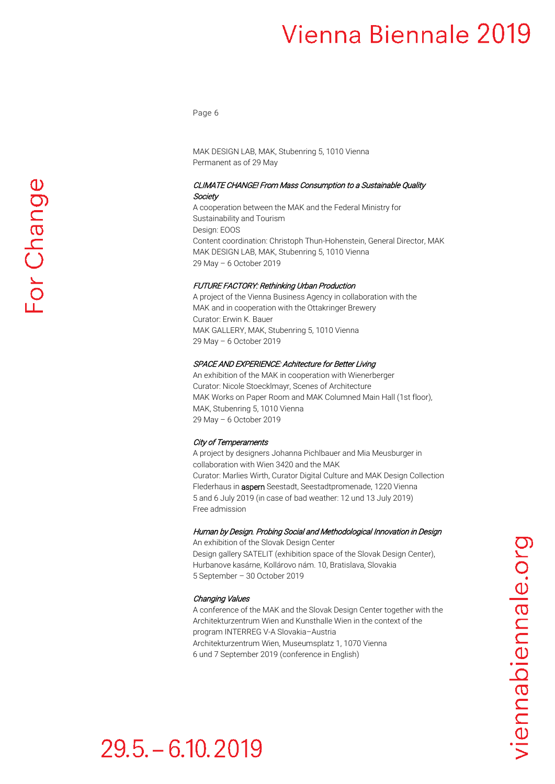Page 6

MAK DESIGN LAB, MAK, Stubenring 5, 1010 Vienna Permanent as of 29 May

#### CLIMATE CHANGE! From Mass Consumption to a Sustainable Quality **Society**

A cooperation between the MAK and the Federal Ministry for Sustainability and Tourism Design: EOOS Content coordination: Christoph Thun-Hohenstein, General Director, MAK MAK DESIGN LAB, MAK, Stubenring 5, 1010 Vienna 29 May – 6 October 2019

#### FUTURE FACTORY: Rethinking Urban Production

A project of the Vienna Business Agency in collaboration with the MAK and in cooperation with the Ottakringer Brewery Curator: Erwin K. Bauer MAK GALLERY, MAK, Stubenring 5, 1010 Vienna 29 May – 6 October 2019

#### SPACE AND EXPERIENCE: Achitecture for Better Living

An exhibition of the MAK in cooperation with Wienerberger Curator: Nicole Stoecklmayr, Scenes of Architecture MAK Works on Paper Room and MAK Columned Main Hall (1st floor), MAK, Stubenring 5, 1010 Vienna 29 May – 6 October 2019

#### City of Temperaments

A project by designers Johanna Pichlbauer and Mia Meusburger in collaboration with Wien 3420 and the MAK Curator: Marlies Wirth, Curator Digital Culture and MAK Design Collection Flederhaus in **aspern** Seestadt, Seestadtpromenade, 1220 Vienna 5 and 6 July 2019 (in case of bad weather: 12 und 13 July 2019) Free admission

#### Human by Design. Probing Social and Methodological Innovation in Design

An exhibition of the Slovak Design Center Design gallery SATELIT (exhibition space of the Slovak Design Center), Hurbanove kasárne, Kollárovo nám. 10, Bratislava, Slovakia 5 September – 30 October 2019

#### Changing Values

A conference of the MAK and the Slovak Design Center together with the Architekturzentrum Wien and Kunsthalle Wien in the context of the program INTERREG V-A Slovakia–Austria Architekturzentrum Wien, Museumsplatz 1, 1070 Vienna 6 und 7 September 2019 (conference in English)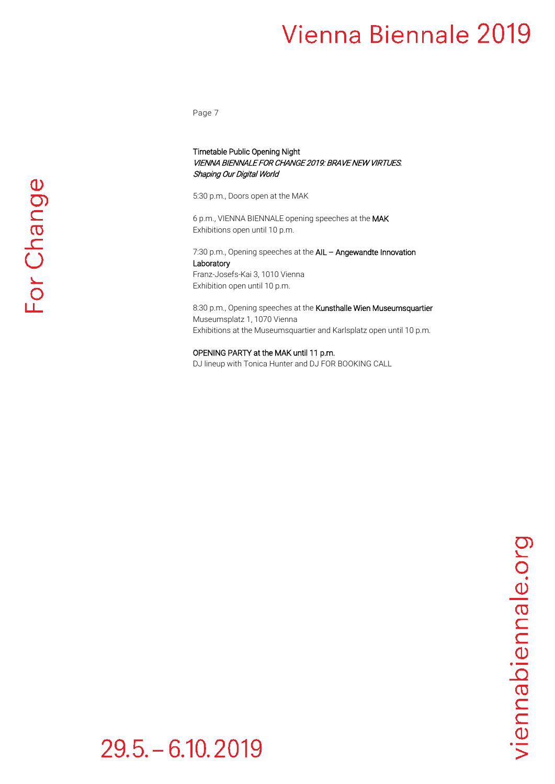Page 7

#### Timetable Public Opening Night VIENNA BIENNALE FOR CHANGE 2019: BRAVE NEW VIRTUES. Shaping Our Digital World

5:30 p.m., Doors open at the MAK

6 p.m., VIENNA BIENNALE opening speeches at the MAK Exhibitions open until 10 p.m.

7:30 p.m., Opening speeches at the AIL - Angewandte Innovation **Laboratory** 

Franz-Josefs-Kai 3, 1010 Vienna Exhibition open until 10 p.m.

8:30 p.m., Opening speeches at the Kunsthalle Wien Museumsquartier Museumsplatz 1, 1070 Vienna Exhibitions at the Museumsquartier and Karlsplatz open until 10 p.m.

OPENING PARTY at the MAK until 11 p.m.

DJ lineup with Tonica Hunter and DJ FOR BOOKING CALL

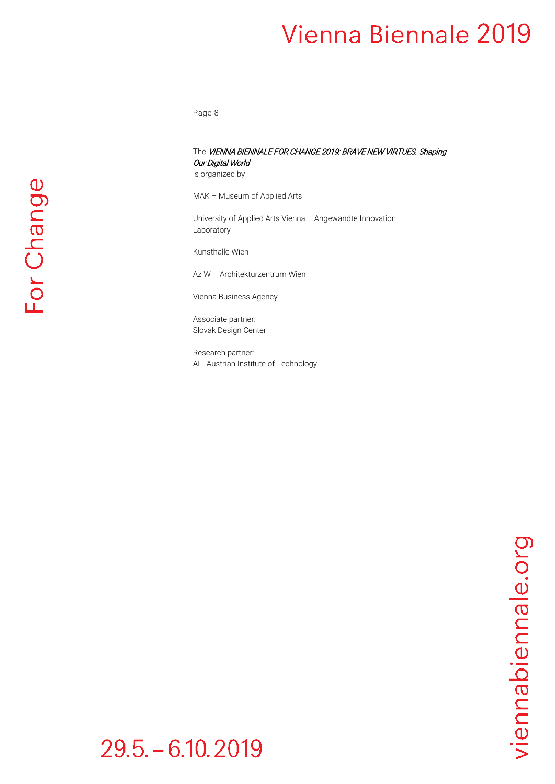Page 8

### The VIENNA BIENNALE FOR CHANGE 2019: BRAVE NEW VIRTUES. Shaping Our Digital World

is organized by

MAK – Museum of Applied Arts

University of Applied Arts Vienna – Angewandte Innovation Laboratory

Kunsthalle Wien

Az W – Architekturzentrum Wien

Vienna Business Agency

Associate partner: Slovak Design Center

Research partner: AIT Austrian Institute of Technology

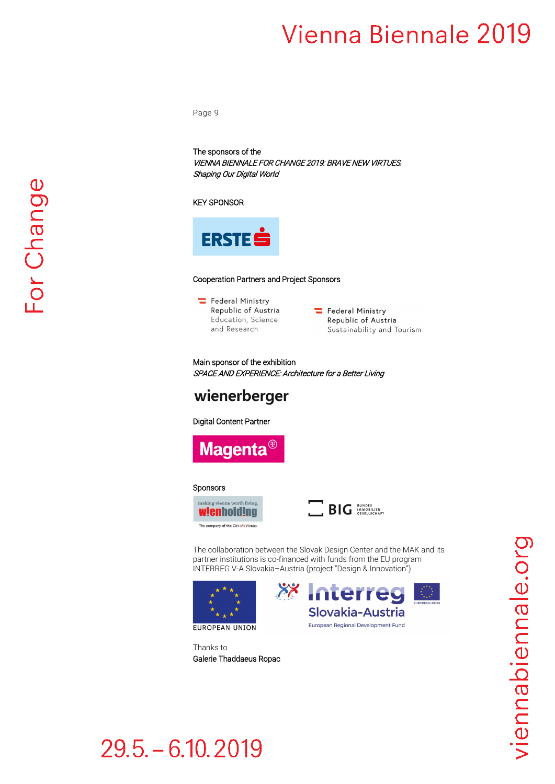Page 9

The sponsors of the VIENNA BIENNALE FOR CHANGE 2019: BRAVE NEW VIRTUES. Shaping Our Digital World

#### KEY SPONSOR



#### Cooperation Partners and Project Sponsors

- Federal Ministry Republic of Austria Education, Science and Research
- Federal Ministry Republic of Austria Sustainability and Tourism

Main sponsor of the exhibition SPACE AND EXPERIENCE: Architecture for a Better Living

### wienerberger

#### Digital Content Partner



#### Sponsors





The collaboration between the Slovak Design Center and the MAK and its partner institutions is co-financed with funds from the EU program INTERREG V-A Slovakia–Austria (project "Design & Innovation").





Thanks to Galerie Thaddaeus Ropac

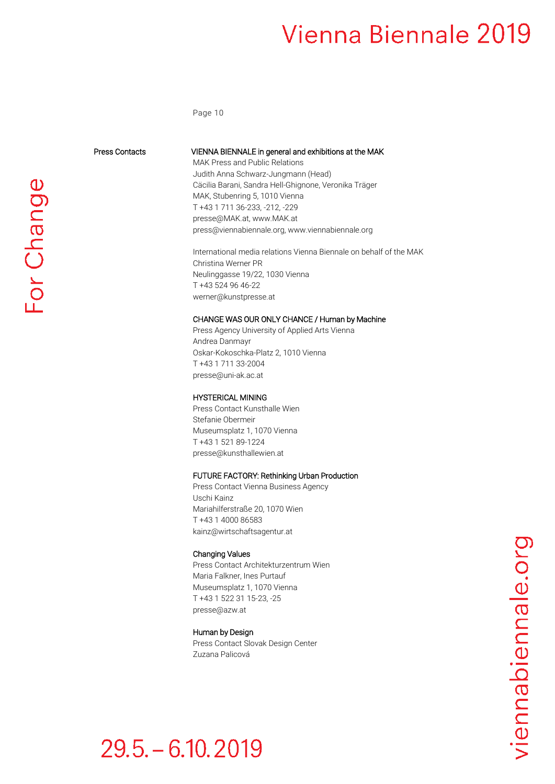Page 10

Press Contacts VIENNA BIENNALE in general and exhibitions at the MAK

MAK Press and Public Relations Judith Anna Schwarz-Jungmann (Head) Cäcilia Barani, Sandra Hell-Ghignone, Veronika Träger MAK, Stubenring 5, 1010 Vienna T +43 1 711 36-233, -212, -229 [presse@MAK.at,](mailto:presse@MAK.at) www.MAK.at [press@viennabiennale.org,](mailto:press@viennabiennale.org) [www.viennabiennale.org](http://www.viennabiennale.org/)

International media relations Vienna Biennale on behalf of the MAK Christina Werner PR Neulinggasse 19/22, 1030 Vienna T +43 524 96 46-22 werner@kunstpresse.at

#### CHANGE WAS OUR ONLY CHANCE / Human by Machine

Press Agency University of Applied Arts Vienna Andrea Danmayr Oskar-Kokoschka-Platz 2, 1010 Vienna T +43 1 711 33-2004 [presse@uni-ak.ac.at](mailto:presse@uni-ak.ac.at)

#### HYSTERICAL MINING

Press Contact Kunsthalle Wien Stefanie Obermeir Museumsplatz 1, 1070 Vienna T +43 1 521 89-1224 [presse@kunsthallewien.at](mailto:presse@kunsthallewien.at)

#### FUTURE FACTORY: Rethinking Urban Production

Press Contact Vienna Business Agency Uschi Kainz Mariahilferstraße 20, 1070 Wien T +43 1 4000 86583 [kainz@wirtschaftsagentur.at](mailto:kainz@wirtschaftsagentur.at)

#### Changing Values

Press Contact Architekturzentrum Wien Maria Falkner, Ines Purtauf Museumsplatz 1, 1070 Vienna T +43 1 522 31 15-23, -25 [presse@azw.at](mailto:presse@azw.at)

#### Human by Design

Press Contact Slovak Design Center Zuzana Palicová